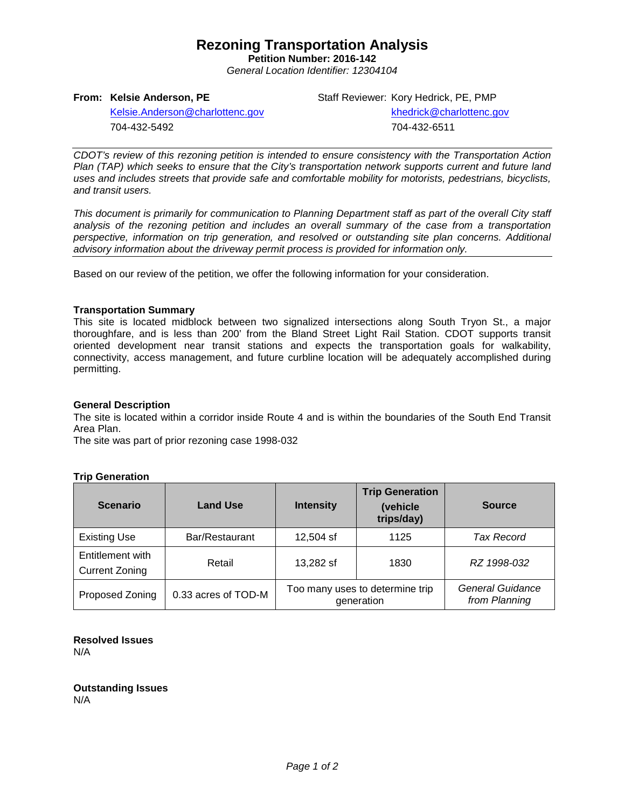# **Rezoning Transportation Analysis**

**Petition Number: 2016-142** *General Location Identifier: 12304104*

# **From: Kelsie Anderson, PE**

Staff Reviewer: Kory Hedrick, PE, PMP

[Kelsie.Anderson@charlottenc.gov](mailto:Kelsie.Anderson@charlottenc.gov) 704-432-5492

 [khedrick@charlottenc.gov](mailto:khedrick@charlottenc.gov) 704-432-6511

*CDOT's review of this rezoning petition is intended to ensure consistency with the Transportation Action Plan (TAP) which seeks to ensure that the City's transportation network supports current and future land uses and includes streets that provide safe and comfortable mobility for motorists, pedestrians, bicyclists, and transit users.*

*This document is primarily for communication to Planning Department staff as part of the overall City staff analysis of the rezoning petition and includes an overall summary of the case from a transportation perspective, information on trip generation, and resolved or outstanding site plan concerns. Additional advisory information about the driveway permit process is provided for information only.*

Based on our review of the petition, we offer the following information for your consideration.

### **Transportation Summary**

This site is located midblock between two signalized intersections along South Tryon St., a major thoroughfare, and is less than 200' from the Bland Street Light Rail Station. CDOT supports transit oriented development near transit stations and expects the transportation goals for walkability, connectivity, access management, and future curbline location will be adequately accomplished during permitting.

#### **General Description**

The site is located within a corridor inside Route 4 and is within the boundaries of the South End Transit Area Plan.

The site was part of prior rezoning case 1998-032

# **Trip Generation**

| <b>Scenario</b>                           | <b>Land Use</b>     | <b>Intensity</b>                              | <b>Trip Generation</b><br>(vehicle<br>trips/day) | <b>Source</b>                     |
|-------------------------------------------|---------------------|-----------------------------------------------|--------------------------------------------------|-----------------------------------|
| <b>Existing Use</b>                       | Bar/Restaurant      | 12,504 sf                                     | 1125                                             | Tax Record                        |
| Entitlement with<br><b>Current Zoning</b> | Retail              | 13,282 sf                                     | 1830                                             | RZ 1998-032                       |
| Proposed Zoning                           | 0.33 acres of TOD-M | Too many uses to determine trip<br>generation |                                                  | General Guidance<br>from Planning |

#### **Resolved Issues** N/A

**Outstanding Issues** N/A